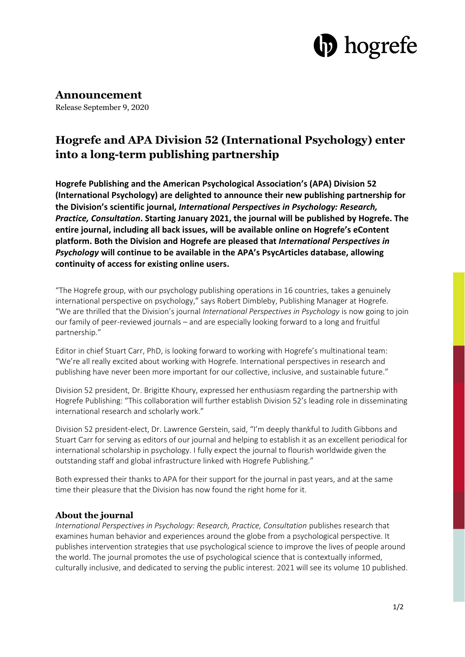

### **Announcement**

Release September 9, 2020

## **Hogrefe and APA Division 52 (International Psychology) enter into a long-term publishing partnership**

**Hogrefe Publishing and the American Psychological Association's (APA) Division 52 (International Psychology) are delighted to announce their new publishing partnership for the Division's scientific journal,** *International Perspectives in Psychology: Research, Practice, Consultation***. Starting January 2021, the journal will be published by Hogrefe. The entire journal, including all back issues, will be available online on Hogrefe's eContent platform. Both the Division and Hogrefe are pleased that** *International Perspectives in Psychology* **will continue to be available in the APA's PsycArticles database, allowing continuity of access for existing online users.**

"The Hogrefe group, with our psychology publishing operations in 16 countries, takes a genuinely international perspective on psychology," says Robert Dimbleby, Publishing Manager at Hogrefe. "We are thrilled that the Division's journal *International Perspectives in Psychology* is now going to join our family of peer-reviewed journals – and are especially looking forward to a long and fruitful partnership."

Editor in chief Stuart Carr, PhD, is looking forward to working with Hogrefe's multinational team: "We're all really excited about working with Hogrefe. International perspectives in research and publishing have never been more important for our collective, inclusive, and sustainable future."

Division 52 president, Dr. Brigitte Khoury, expressed her enthusiasm regarding the partnership with Hogrefe Publishing: "This collaboration will further establish Division 52's leading role in disseminating international research and scholarly work."

Division 52 president-elect, Dr. Lawrence Gerstein, said, "I'm deeply thankful to Judith Gibbons and Stuart Carr for serving as editors of our journal and helping to establish it as an excellent periodical for international scholarship in psychology. I fully expect the journal to flourish worldwide given the outstanding staff and global infrastructure linked with Hogrefe Publishing."

Both expressed their thanks to APA for their support for the journal in past years, and at the same time their pleasure that the Division has now found the right home for it.

### **About the journal**

*International Perspectives in Psychology: Research, Practice, Consultation* publishes research that examines human behavior and experiences around the globe from a psychological perspective. It publishes intervention strategies that use psychological science to improve the lives of people around the world. The journal promotes the use of psychological science that is contextually informed, culturally inclusive, and dedicated to serving the public interest. 2021 will see its volume 10 published.